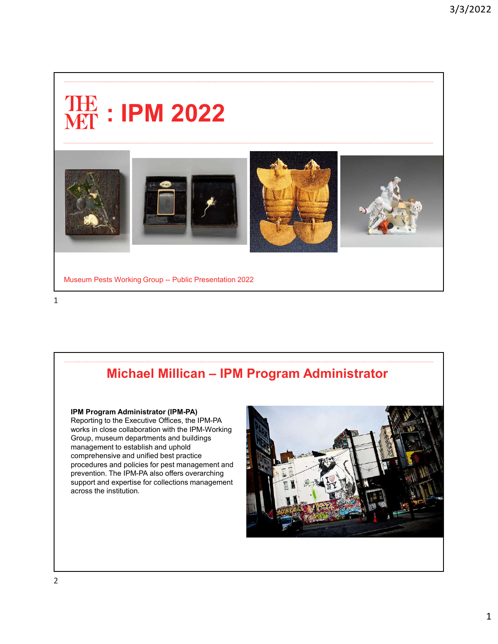# : IPM 2022



Museum Pests Working Group -- Public Presentation 2022

## Michael Millican – IPM Program Administrator

IPM Program Administrator (IPM-PA) Reporting to the Executive Offices, the IPM-PA works in close collaboration with the IPM-Working Group, museum departments and buildings management to establish and uphold comprehensive and unified best practice procedures and policies for pest management and prevention. The IPM-PA also offers overarching support and expertise for collections management across the institution.

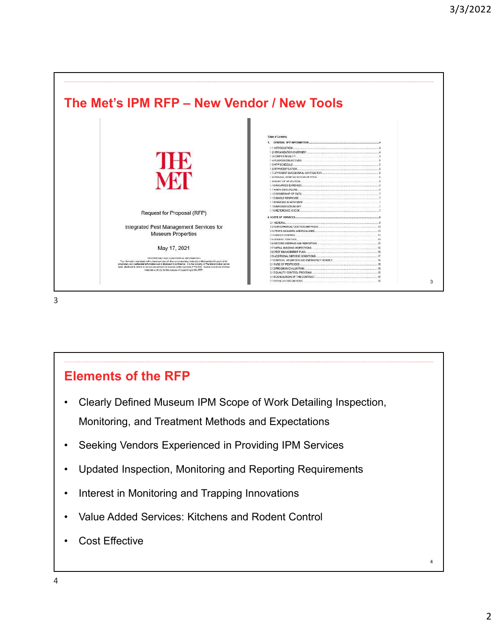

### Elements of the RFP

- Clearly Defined Museum IPM Scope of Work Detailing Inspection, Monitoring, and Treatment Methods and Expectations
- Seeking Vendors Experienced in Providing IPM Services
- Updated Inspection, Monitoring and Reporting Requirements
- Interest in Monitoring and Trapping Innovations
- Value Added Services: Kitchens and Rodent Control
- Cost Effective

4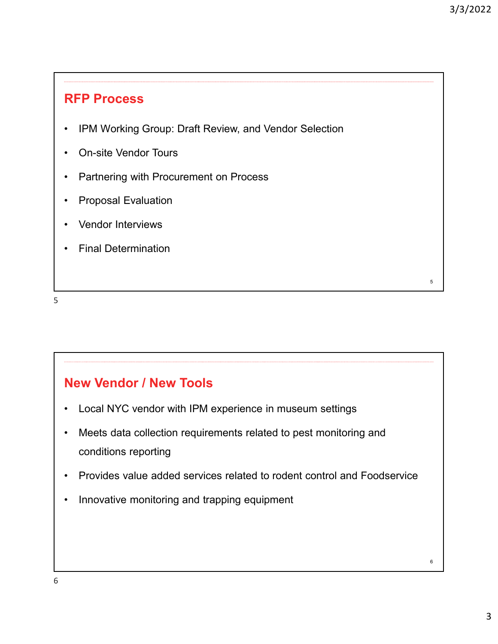5

6

#### RFP Process

- IPM Working Group: Draft Review, and Vendor Selection
- On-site Vendor Tours
- Partnering with Procurement on Process
- Proposal Evaluation
- Vendor Interviews
- Final Determination

5

### New Vendor / New Tools

- Local NYC vendor with IPM experience in museum settings
- Meets data collection requirements related to pest monitoring and conditions reporting
- Provides value added services related to rodent control and Foodservice
- Innovative monitoring and trapping equipment